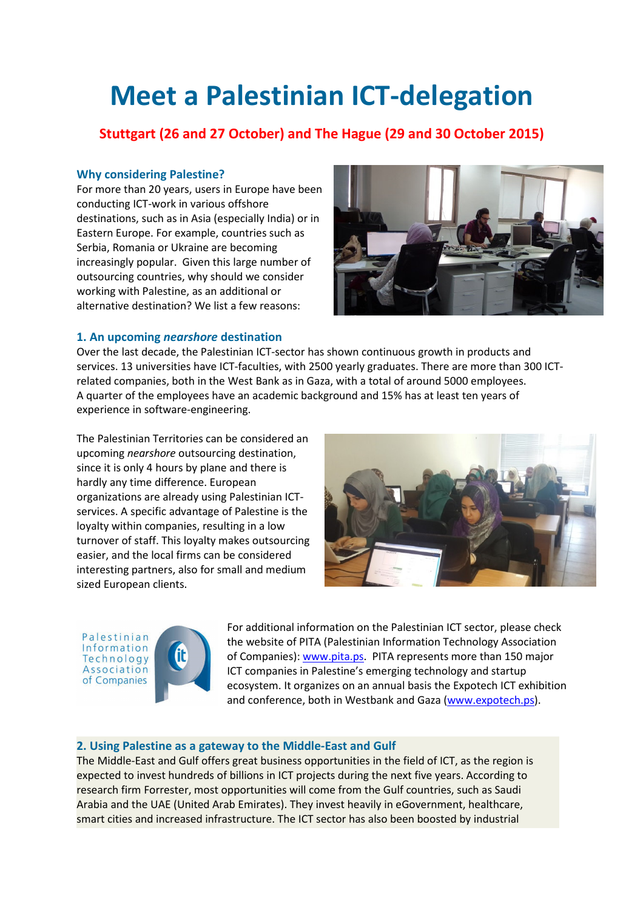# Meet a Palestinian ICT-delegation

# Stuttgart (26 and 27 October) and The Hague (29 and 30 October 2015)

# Why considering Palestine?

For more than 20 years, users in Europe have been conducting ICT-work in various offshore destinations, such as in Asia (especially India) or in Eastern Europe. For example, countries such as Serbia, Romania or Ukraine are becoming increasingly popular. Given this large number of outsourcing countries, why should we consider working with Palestine, as an additional or alternative destination? We list a few reasons:



### 1. An upcoming nearshore destination

Over the last decade, the Palestinian ICT-sector has shown continuous growth in products and services. 13 universities have ICT-faculties, with 2500 yearly graduates. There are more than 300 ICTrelated companies, both in the West Bank as in Gaza, with a total of around 5000 employees. A quarter of the employees have an academic background and 15% has at least ten years of experience in software-engineering.

The Palestinian Territories can be considered an upcoming nearshore outsourcing destination, since it is only 4 hours by plane and there is hardly any time difference. European organizations are already using Palestinian ICTservices. A specific advantage of Palestine is the loyalty within companies, resulting in a low turnover of staff. This loyalty makes outsourcing easier, and the local firms can be considered interesting partners, also for small and medium sized European clients.



Palestinian Information Technology Association of Companies



For additional information on the Palestinian ICT sector, please check the website of PITA (Palestinian Information Technology Association of Companies): www.pita.ps. PITA represents more than 150 major ICT companies in Palestine's emerging technology and startup ecosystem. It organizes on an annual basis the Expotech ICT exhibition and conference, both in Westbank and Gaza (www.expotech.ps).

#### 2. Using Palestine as a gateway to the Middle-East and Gulf

The Middle-East and Gulf offers great business opportunities in the field of ICT, as the region is expected to invest hundreds of billions in ICT projects during the next five years. According to research firm Forrester, most opportunities will come from the Gulf countries, such as Saudi Arabia and the UAE (United Arab Emirates). They invest heavily in eGovernment, healthcare, smart cities and increased infrastructure. The ICT sector has also been boosted by industrial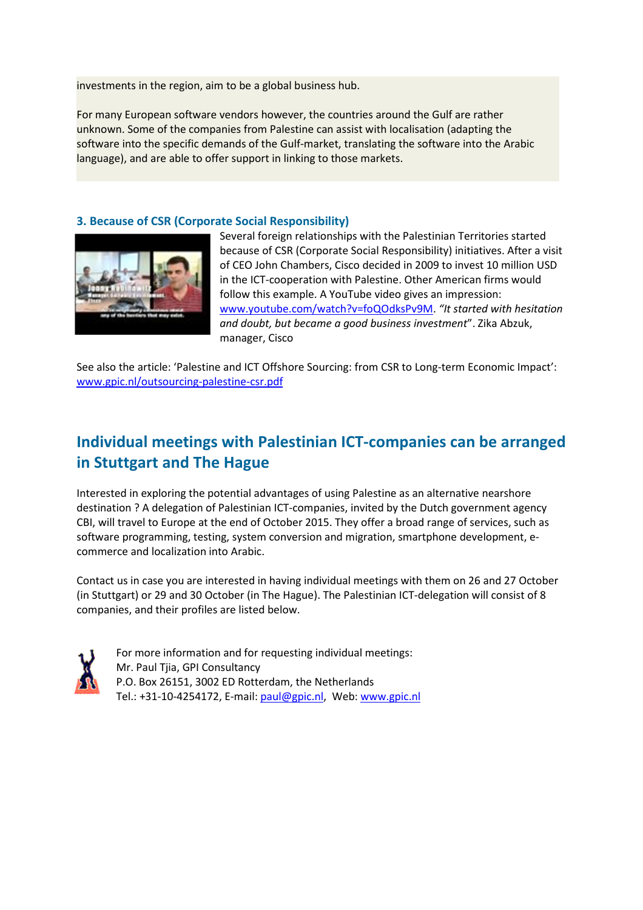investments in the region, aim to be a global business hub.

For many European software vendors however, the countries around the Gulf are rather unknown. Some of the companies from Palestine can assist with localisation (adapting the software into the specific demands of the Gulf-market, translating the software into the Arabic language), and are able to offer support in linking to those markets.

### 3. Because of CSR (Corporate Social Responsibility)



Several foreign relationships with the Palestinian Territories started because of CSR (Corporate Social Responsibility) initiatives. After a visit of CEO John Chambers, Cisco decided in 2009 to invest 10 million USD in the ICT-cooperation with Palestine. Other American firms would follow this example. A YouTube video gives an impression: www.youtube.com/watch?v=foQOdksPv9M. "It started with hesitation and doubt, but became a good business investment". Zika Abzuk, manager, Cisco

See also the article: 'Palestine and ICT Offshore Sourcing: from CSR to Long-term Economic Impact': www.gpic.nl/outsourcing-palestine-csr.pdf

# Individual meetings with Palestinian ICT-companies can be arranged in Stuttgart and The Hague

Interested in exploring the potential advantages of using Palestine as an alternative nearshore destination ? A delegation of Palestinian ICT-companies, invited by the Dutch government agency CBI, will travel to Europe at the end of October 2015. They offer a broad range of services, such as software programming, testing, system conversion and migration, smartphone development, ecommerce and localization into Arabic.

Contact us in case you are interested in having individual meetings with them on 26 and 27 October (in Stuttgart) or 29 and 30 October (in The Hague). The Palestinian ICT-delegation will consist of 8 companies, and their profiles are listed below.



 For more information and for requesting individual meetings: Mr. Paul Tjia, GPI Consultancy P.O. Box 26151, 3002 ED Rotterdam, the Netherlands Tel.: +31-10-4254172, E-mail: paul@gpic.nl, Web: www.gpic.nl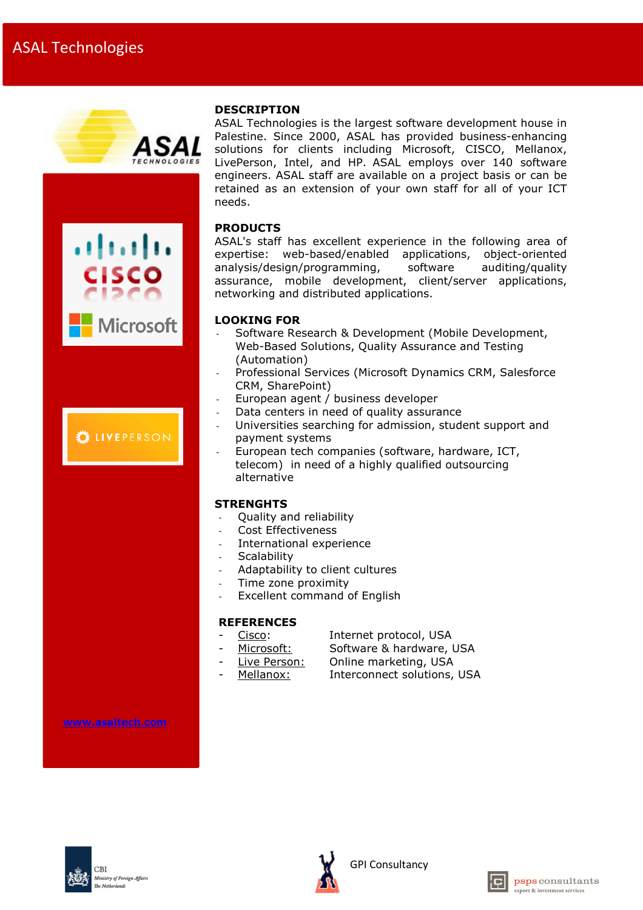





ASAL Technologies is the largest software development house in Palestine. Since 2000, ASAL has provided business-enhancing solutions for clients including Microsoft, CISCO, Mellanox, LivePerson, Intel, and HP. ASAL employs over 140 software engineers. ASAL staff are available on a project basis or can be retained as an extension of your own staff for all of your ICT needs.

# PRODUCTS

ASAL's staff has excellent experience in the following area of expertise: web-based/enabled applications, object-oriented analysis/design/programming, software auditing/quality assurance, mobile development, client/server applications, networking and distributed applications.

- Software Research & Development (Mobile Development, Web-Based Solutions, Quality Assurance and Testing (Automation)
- Professional Services (Microsoft Dynamics CRM, Salesforce CRM, SharePoint)
- European agent / business developer
- Data centers in need of quality assurance
- Universities searching for admission, student support and payment systems
- European tech companies (software, hardware, ICT, telecom) in need of a highly qualified outsourcing alternative

# **STRENGHTS**

- Quality and reliability
- Cost Effectiveness
- International experience
- **Scalability**
- Adaptability to client cultures
- Time zone proximity
- Excellent command of English

#### **REFERENCES**

- Cisco: Internet protocol, USA
- Microsoft: Software & hardware, USA
	- Live Person: Online marketing, USA
- Mellanox: Interconnect solutions, USA

www.asaltech.com





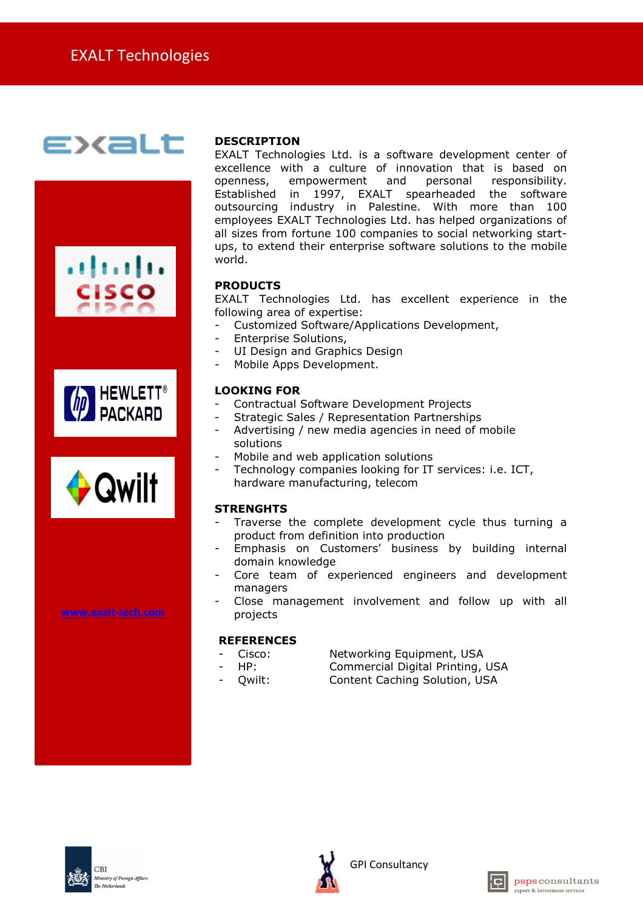# **EXaLt**







www.exalt-tech.com

# DESCRIPTION

EXALT Technologies Ltd. is a software development center of excellence with a culture of innovation that is based on openness, empowerment and personal responsibility. Established in 1997, EXALT spearheaded the software outsourcing industry in Palestine. With more than 100 employees EXALT Technologies Ltd. has helped organizations of all sizes from fortune 100 companies to social networking startups, to extend their enterprise software solutions to the mobile world.

# PRODUCTS

EXALT Technologies Ltd. has excellent experience in the following area of expertise:

- Customized Software/Applications Development,
- Enterprise Solutions,
- UI Design and Graphics Design
- Mobile Apps Development.

### LOOKING FOR

- Contractual Software Development Projects
- Strategic Sales / Representation Partnerships
- Advertising / new media agencies in need of mobile solutions
- Mobile and web application solutions
- Technology companies looking for IT services: i.e. ICT, hardware manufacturing, telecom

# **STRENGHTS**

- Traverse the complete development cycle thus turning a product from definition into production
- Emphasis on Customers' business by building internal domain knowledge
- Core team of experienced engineers and development managers
- Close management involvement and follow up with all projects

#### **REFERENCES**

- Cisco: Networking Equipment, USA
- 
- HP: Commercial Digital Printing, USA
- Owilt: Content Caching Solution, USA





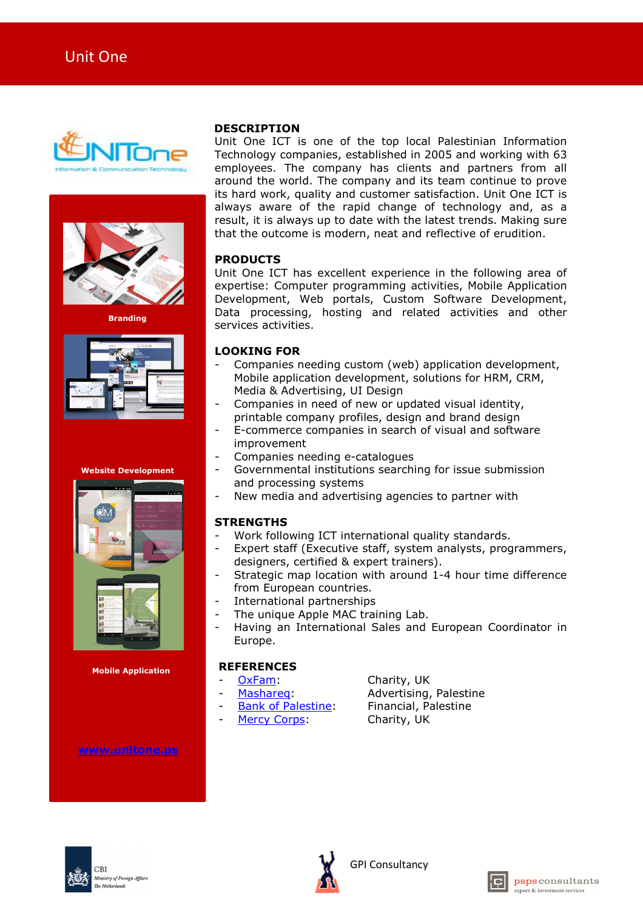



**Branding** 



Website Development



Mobile Application

www.unitone.ps

#### **DESCRIPTION**

Unit One ICT is one of the top local Palestinian Information Technology companies, established in 2005 and working with 63 employees. The company has clients and partners from all around the world. The company and its team continue to prove its hard work, quality and customer satisfaction. Unit One ICT is always aware of the rapid change of technology and, as a result, it is always up to date with the latest trends. Making sure that the outcome is modern, neat and reflective of erudition.

# PRODUCTS

Unit One ICT has excellent experience in the following area of expertise: Computer programming activities, Mobile Application Development, Web portals, Custom Software Development, Data processing, hosting and related activities and other services activities.

# LOOKING FOR

- Companies needing custom (web) application development, Mobile application development, solutions for HRM, CRM, Media & Advertising, UI Design
- Companies in need of new or updated visual identity, printable company profiles, design and brand design
- E-commerce companies in search of visual and software improvement
- Companies needing e-catalogues
- Governmental institutions searching for issue submission and processing systems
- New media and advertising agencies to partner with

# **STRENGTHS**

- Work following ICT international quality standards.
- Expert staff (Executive staff, system analysts, programmers, designers, certified & expert trainers).
- Strategic map location with around 1-4 hour time difference from European countries.
- International partnerships
- The unique Apple MAC training Lab.
- Having an International Sales and European Coordinator in Europe.

# **REFERENCES**

- OxFam: Charity, UK
	-
- 
- 
- 
- Mashareg: Advertising, Palestine
- Bank of Palestine: Financial, Palestine
- Mercy Corps: Charity, UK





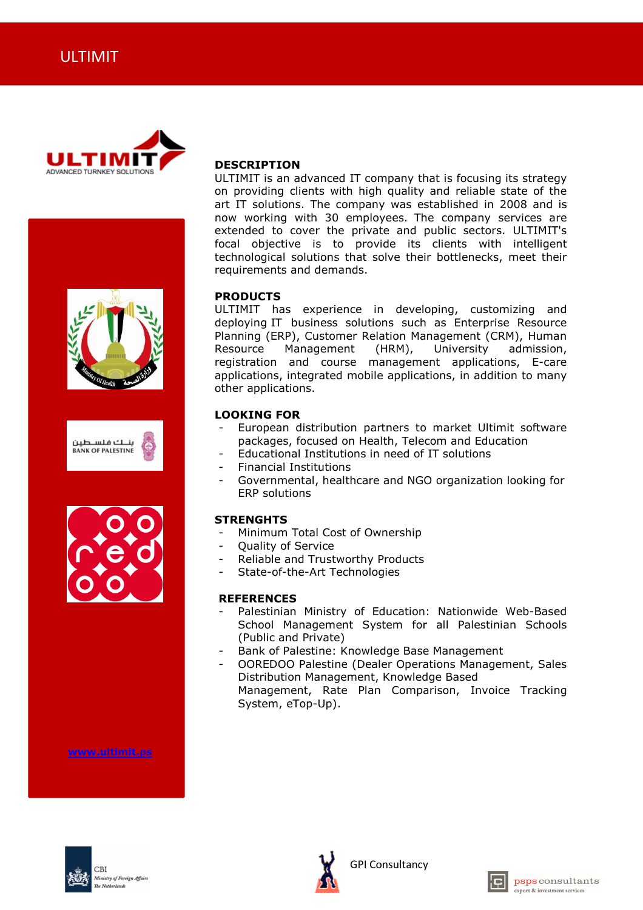









www.ultimit.ps

#### DESCRIPTION

ULTIMIT is an advanced IT company that is focusing its strategy on providing clients with high quality and reliable state of the art IT solutions. The company was established in 2008 and is now working with 30 employees. The company services are extended to cover the private and public sectors. ULTIMIT's focal objective is to provide its clients with intelligent technological solutions that solve their bottlenecks, meet their requirements and demands.

#### PRODUCTS

ULTIMIT has experience in developing, customizing and deploying IT business solutions such as Enterprise Resource Planning (ERP), Customer Relation Management (CRM), Human Resource Management (HRM), University admission, registration and course management applications, E-care applications, integrated mobile applications, in addition to many other applications.

#### LOOKING FOR

- European distribution partners to market Ultimit software packages, focused on Health, Telecom and Education
- Educational Institutions in need of IT solutions
- Financial Institutions
- Governmental, healthcare and NGO organization looking for ERP solutions

#### **STRENGHTS**

- Minimum Total Cost of Ownership
- Ouality of Service
- Reliable and Trustworthy Products
- State-of-the-Art Technologies

#### **REFERENCES**

- Palestinian Ministry of Education: Nationwide Web-Based School Management System for all Palestinian Schools (Public and Private)
- Bank of Palestine: Knowledge Base Management
- OOREDOO Palestine (Dealer Operations Management, Sales Distribution Management, Knowledge Based Management, Rate Plan Comparison, Invoice Tracking System, eTop-Up).





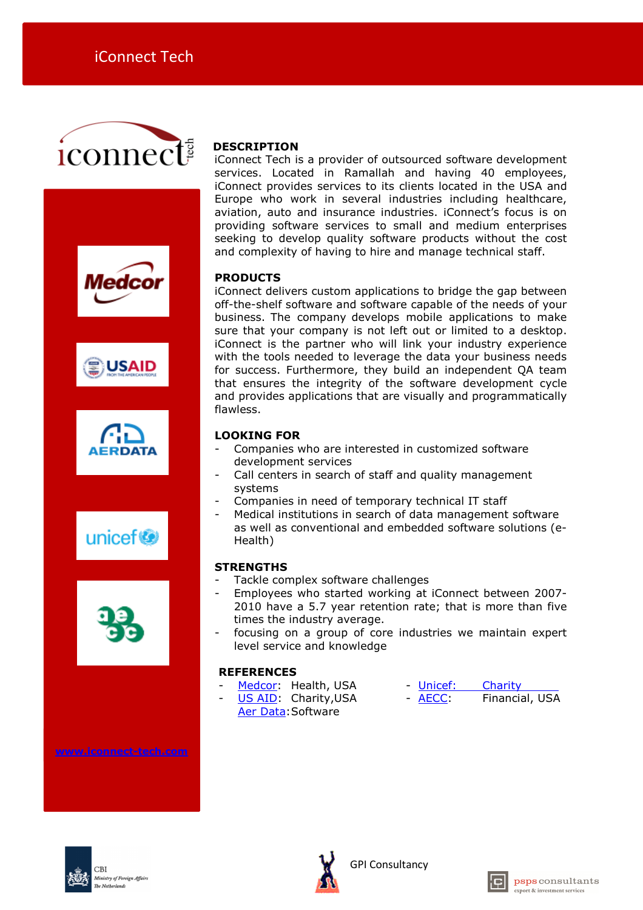











www.iconnect-tech.com

 $CRI$ 

Ministry of Foreign Affairs

# DESCRIPTION

iConnect Tech is a provider of outsourced software development services. Located in Ramallah and having 40 employees, iConnect provides services to its clients located in the USA and Europe who work in several industries including healthcare, aviation, auto and insurance industries. iConnect's focus is on providing software services to small and medium enterprises seeking to develop quality software products without the cost and complexity of having to hire and manage technical staff.

# PRODUCTS

iConnect delivers custom applications to bridge the gap between off-the-shelf software and software capable of the needs of your business. The company develops mobile applications to make sure that your company is not left out or limited to a desktop. iConnect is the partner who will link your industry experience with the tools needed to leverage the data your business needs for success. Furthermore, they build an independent QA team that ensures the integrity of the software development cycle and provides applications that are visually and programmatically flawless.

### LOOKING FOR

- Companies who are interested in customized software development services
- Call centers in search of staff and quality management systems
- Companies in need of temporary technical IT staff
- Medical institutions in search of data management software as well as conventional and embedded software solutions (e-Health)

# **STRENGTHS**

- Tackle complex software challenges
- Employees who started working at iConnect between 2007- 2010 have a 5.7 year retention rate; that is more than five times the industry average.
- focusing on a group of core industries we maintain expert level service and knowledge

# **REFERENCES**

- 
- Medcor: Health, USA Unicef: Charity
- US AID: Charity, USA AECC: Financial, USA
- Aer Data: Software





GPI Consultancy

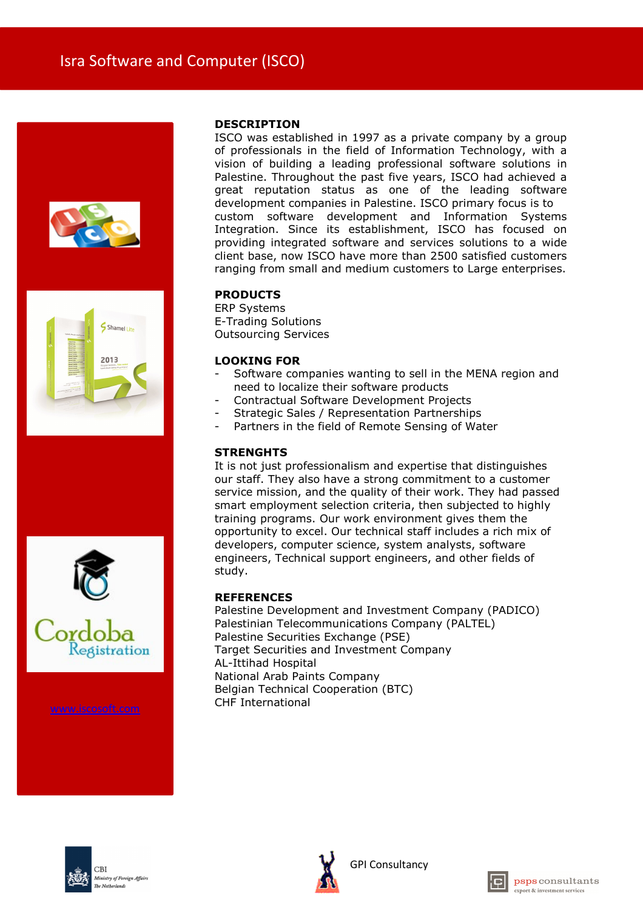







ISCO was established in 1997 as a private company by a group of professionals in the field of Information Technology, with a vision of building a leading professional software solutions in Palestine. Throughout the past five years, ISCO had achieved a great reputation status as one of the leading software development companies in Palestine. ISCO primary focus is to custom software development and Information Systems Integration. Since its establishment, ISCO has focused on providing integrated software and services solutions to a wide client base, now ISCO have more than 2500 satisfied customers ranging from small and medium customers to Large enterprises.

# PRODUCTS

ERP Systems E-Trading Solutions Outsourcing Services

### LOOKING FOR

- Software companies wanting to sell in the MENA region and need to localize their software products
- Contractual Software Development Projects
- Strategic Sales / Representation Partnerships
- Partners in the field of Remote Sensing of Water

# **STRENGHTS**

It is not just professionalism and expertise that distinguishes our staff. They also have a strong commitment to a customer service mission, and the quality of their work. They had passed smart employment selection criteria, then subjected to highly training programs. Our work environment gives them the opportunity to excel. Our technical staff includes a rich mix of developers, computer science, system analysts, software engineers, Technical support engineers, and other fields of study.

# **REFERENCES**

Palestine Development and Investment Company (PADICO) Palestinian Telecommunications Company (PALTEL) Palestine Securities Exchange (PSE) Target Securities and Investment Company AL-Ittihad Hospital National Arab Paints Company Belgian Technical Cooperation (BTC) www.iscosoft.com CHF International





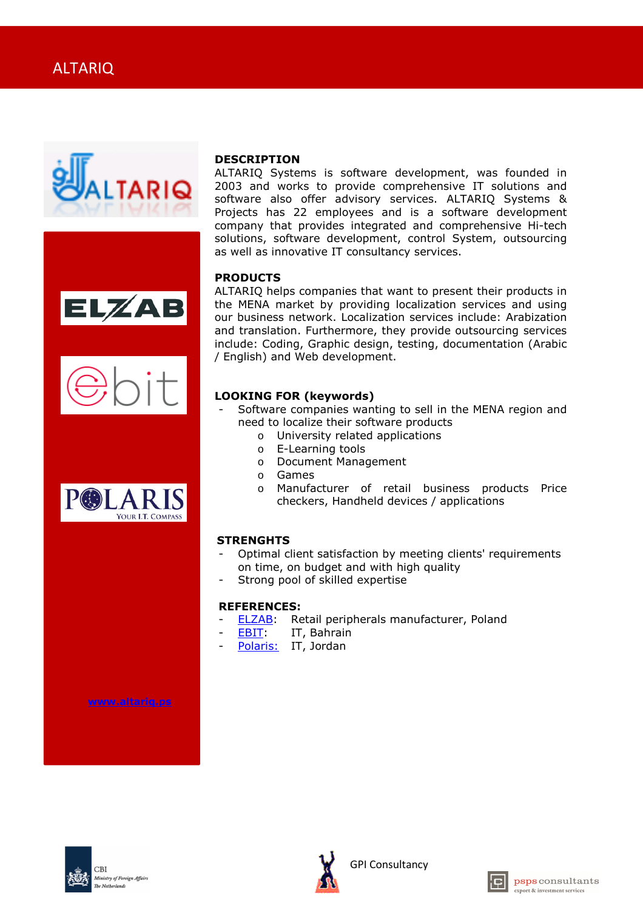







ALTARIQ Systems is software development, was founded in 2003 and works to provide comprehensive IT solutions and software also offer advisory services. ALTARIQ Systems & Projects has 22 employees and is a software development company that provides integrated and comprehensive Hi-tech solutions, software development, control System, outsourcing as well as innovative IT consultancy services.

### PRODUCTS

ALTARIQ helps companies that want to present their products in the MENA market by providing localization services and using our business network. Localization services include: Arabization and translation. Furthermore, they provide outsourcing services include: Coding, Graphic design, testing, documentation (Arabic / English) and Web development.

# LOOKING FOR (keywords)

- Software companies wanting to sell in the MENA region and need to localize their software products
	- o University related applications
	- o E-Learning tools
	- o Document Management
	- o Games
	- o Manufacturer of retail business products Price checkers, Handheld devices / applications

#### **STRENGHTS**

- Optimal client satisfaction by meeting clients' requirements on time, on budget and with high quality
- Strong pool of skilled expertise

#### REFERENCES:

- ELZAB: Retail peripherals manufacturer, Poland
- EBIT: IT, Bahrain
- Polaris: IT, Jordan

www.altariq.ps





GPI Consultancy